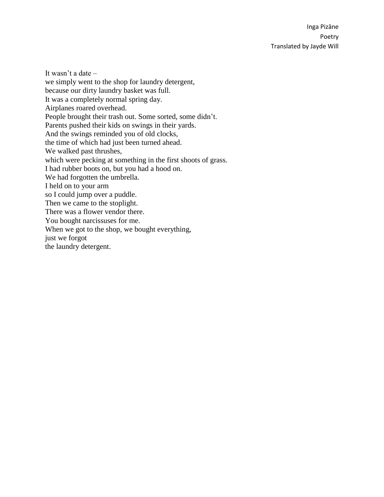It wasn't a date – we simply went to the shop for laundry detergent, because our dirty laundry basket was full. It was a completely normal spring day. Airplanes roared overhead. People brought their trash out. Some sorted, some didn't. Parents pushed their kids on swings in their yards. And the swings reminded you of old clocks, the time of which had just been turned ahead. We walked past thrushes, which were pecking at something in the first shoots of grass. I had rubber boots on, but you had a hood on. We had forgotten the umbrella. I held on to your arm so I could jump over a puddle. Then we came to the stoplight. There was a flower vendor there. You bought narcissuses for me. When we got to the shop, we bought everything, just we forgot the laundry detergent.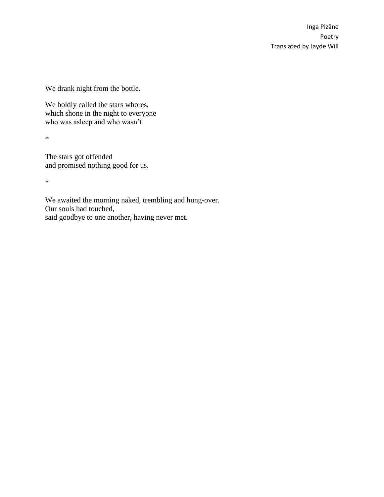We drank night from the bottle.

We boldly called the stars whores, which shone in the night to everyone who was asleep and who wasn't

\*

The stars got offended and promised nothing good for us.

\*

We awaited the morning naked, trembling and hung-over. Our souls had touched, said goodbye to one another, having never met.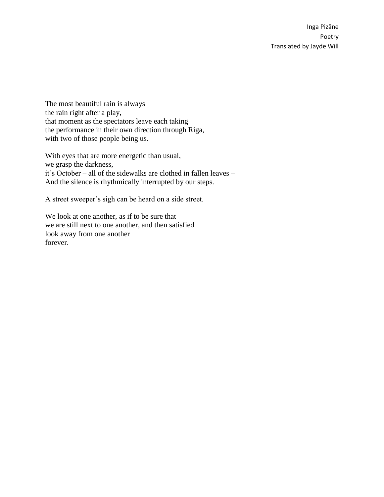The most beautiful rain is always the rain right after a play, that moment as the spectators leave each taking the performance in their own direction through Riga, with two of those people being us.

With eyes that are more energetic than usual, we grasp the darkness, it's October – all of the sidewalks are clothed in fallen leaves – And the silence is rhythmically interrupted by our steps.

A street sweeper's sigh can be heard on a side street.

We look at one another, as if to be sure that we are still next to one another, and then satisfied look away from one another forever.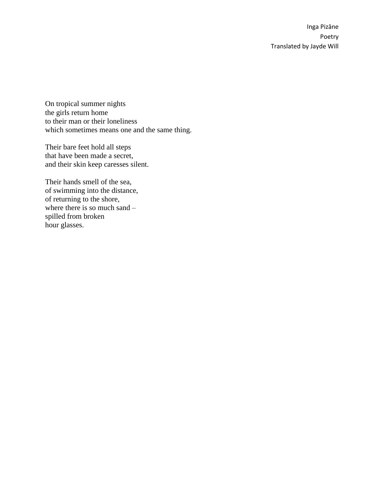On tropical summer nights the girls return home to their man or their loneliness which sometimes means one and the same thing.

Their bare feet hold all steps that have been made a secret, and their skin keep caresses silent.

Their hands smell of the sea, of swimming into the distance, of returning to the shore, where there is so much sand  $$ spilled from broken hour glasses.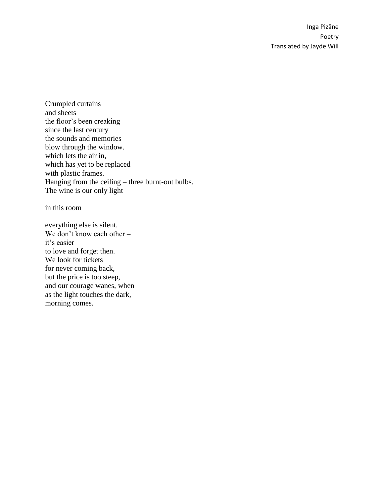Crumpled curtains and sheets the floor's been creaking since the last century the sounds and memories blow through the window. which lets the air in, which has yet to be replaced with plastic frames. Hanging from the ceiling – three burnt-out bulbs. The wine is our only light

in this room

everything else is silent. We don't know each other – it's easier to love and forget then. We look for tickets for never coming back, but the price is too steep, and our courage wanes, when as the light touches the dark, morning comes.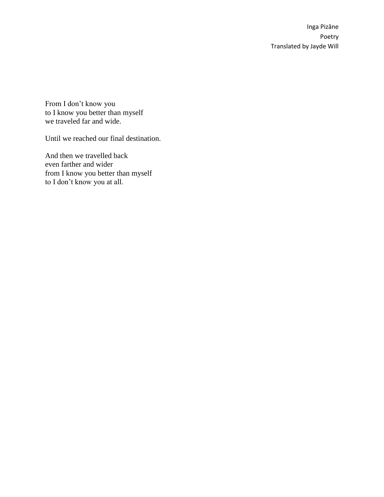From I don't know you to I know you better than myself we traveled far and wide.

Until we reached our final destination.

And then we travelled back even farther and wider from I know you better than myself to I don't know you at all.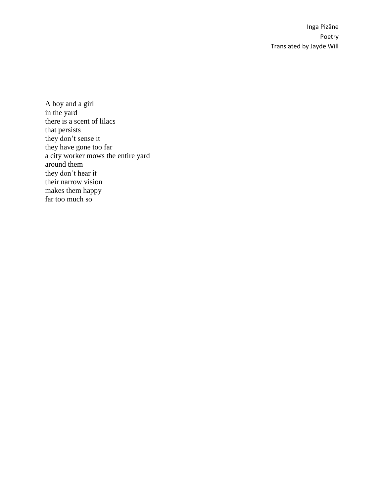A boy and a girl in the yard there is a scent of lilacs that persists they don't sense it they have gone too far a city worker mows the entire yard around them they don't hear it their narrow vision makes them happy far too much so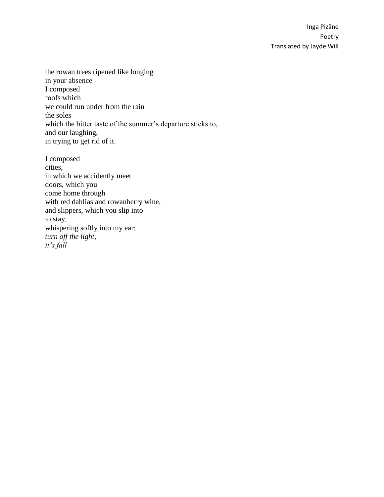the rowan trees ripened like longing in your absence I composed roofs which we could run under from the rain the soles which the bitter taste of the summer's departure sticks to, and our laughing, in trying to get rid of it.

I composed cities, in which we accidently meet doors, which you come home through with red dahlias and rowanberry wine, and slippers, which you slip into to stay, whispering softly into my ear: *turn off the light, it's fall*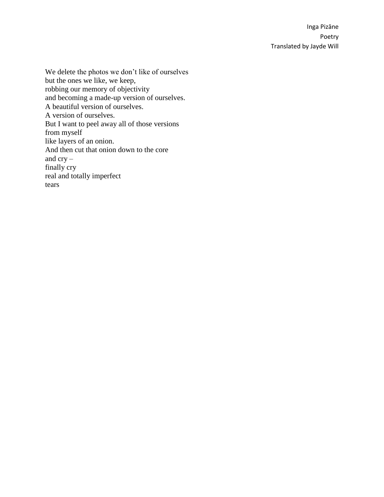We delete the photos we don't like of ourselves but the ones we like, we keep, robbing our memory of objectivity and becoming a made-up version of ourselves. A beautiful version of ourselves. A version of ourselves. But I want to peel away all of those versions from myself like layers of an onion. And then cut that onion down to the core and cry – finally cry real and totally imperfect tears